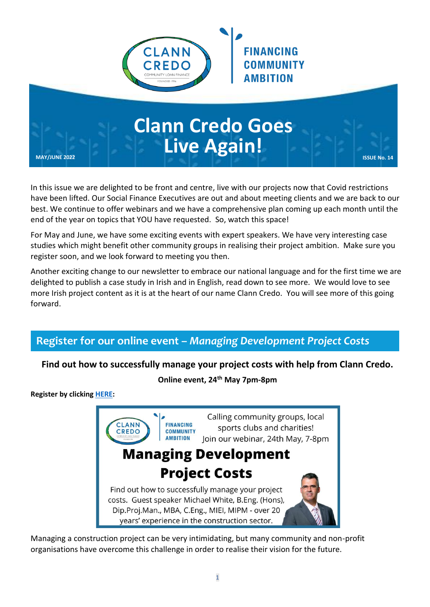

# **Clann Credo Goes Live Again! MAY/JUNE 2022 ISSUE No. 14**

In this issue we are delighted to be front and centre, live with our projects now that Covid restrictions have been lifted. Our Social Finance Executives are out and about meeting clients and we are back to our best. We continue to offer webinars and we have a comprehensive plan coming up each month until the end of the year on topics that YOU have requested. So, watch this space!

For May and June, we have some exciting events with expert speakers. We have very interesting case studies which might benefit other community groups in realising their project ambition. Make sure you register soon, and we look forward to meeting you then.

Another exciting change to our newsletter to embrace our national language and for the first time we are delighted to publish a case study in Irish and in English, read down to see more. We would love to see more Irish project content as it is at the heart of our name Clann Credo. You will see more of this going forward.

# **Register for our online event –** *Managing Development Project Costs*

## **Find out how to successfully manage your project costs with help from Clann Credo.**

## **Online event, 24th May 7pm-8pm**

**Register by clicking [HERE:](https://www.eventbrite.ie/e/managing-development-project-costs-tickets-329523783507)**



Managing a construction project can be very intimidating, but many community and non-profit organisations have overcome this challenge in order to realise their vision for the future.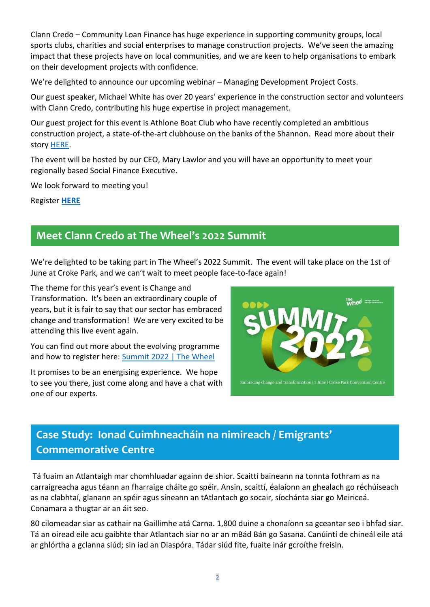Clann Credo – Community Loan Finance has huge experience in supporting community groups, local sports clubs, charities and social enterprises to manage construction projects. We've seen the amazing impact that these projects have on local communities, and we are keen to help organisations to embark on their development projects with confidence.

We're delighted to announce our upcoming webinar – Managing Development Project Costs.

Our guest speaker, Michael White has over 20 years' experience in the construction sector and volunteers with Clann Credo, contributing his huge expertise in project management.

Our guest project for this event is Athlone Boat Club who have recently completed an ambitious construction project, a state-of-the-art clubhouse on the banks of the Shannon. Read more about their story [HERE.](https://www.clanncredo.ie/community-loan-success-story-athlone-boat-club#bottom)

The event will be hosted by our CEO, Mary Lawlor and you will have an opportunity to meet your regionally based Social Finance Executive.

We look forward to meeting you!

Register **[HERE](https://www.eventbrite.ie/e/managing-development-project-costs-tickets-329523783507)**

# **Meet Clann Credo at The Wheel's 2022 Summit**

We're delighted to be taking part in The Wheel's 2022 Summit. The event will take place on the 1st of June at Croke Park, and we can't wait to meet people face-to-face again!

The theme for this year's event is Change and Transformation. It's been an extraordinary couple of years, but it is fair to say that our sector has embraced change and transformation! We are very excited to be attending this live event again.

You can find out more about the evolving programme and how to register here: [Summit 2022 | The Wheel](https://www.wheel.ie/summit-2022)

It promises to be an energising experience. We hope to see you there, just come along and have a chat with one of our experts.



# **Case Study: Ionad Cuimhneacháin na nimireach / Emigrants' Commemorative Centre**

Tá fuaim an Atlantaigh mar chomhluadar againn de shior. Scaittí baineann na tonnta fothram as na carraigreacha agus téann an fharraige cháite go spéir. Ansin, scaittí, éalaíonn an ghealach go réchúiseach as na clabhtaí, glanann an spéir agus síneann an tAtlantach go socair, síochánta siar go Meiriceá. Conamara a thugtar ar an áit seo.

80 cilomeadar siar as cathair na Gaillimhe atá Carna. 1,800 duine a chonaíonn sa gceantar seo i bhfad siar. Tá an oiread eile acu gaibhte thar Atlantach siar no ar an mBád Bán go Sasana. Canúintí de chineál eile atá ar ghlórtha a gclanna siúd; sin iad an Diaspóra. Tádar siúd fite, fuaite inár gcroíthe freisin.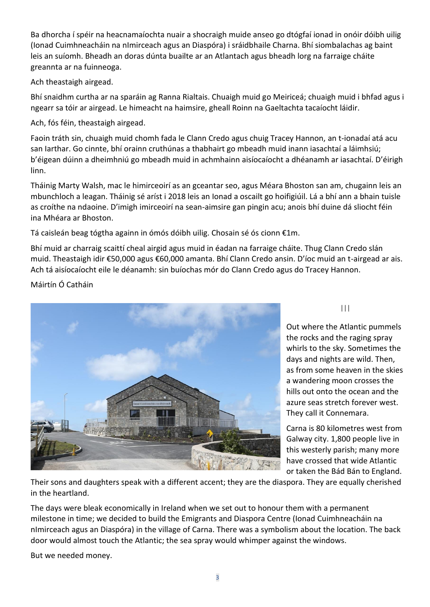Ba dhorcha í spéir na heacnamaíochta nuair a shocraigh muide anseo go dtógfaí ionad in onóir dóibh uilig (Ionad Cuimhneacháin na nImirceach agus an Diaspóra) i sráidbhaile Charna. Bhí siombalachas ag baint leis an suíomh. Bheadh an doras dúnta buailte ar an Atlantach agus bheadh lorg na farraige cháite greannta ar na fuinneoga.

Ach theastaigh airgead.

Bhí snaidhm curtha ar na sparáin ag Ranna Rialtais. Chuaigh muid go Meiriceá; chuaigh muid i bhfad agus i ngearr sa tóir ar airgead. Le himeacht na haimsire, gheall Roinn na Gaeltachta tacaíocht láidir.

Ach, fós féin, theastaigh airgead.

Faoin tráth sin, chuaigh muid chomh fada le Clann Credo agus chuig Tracey Hannon, an t-ionadaí atá acu san Iarthar. Go cinnte, bhí orainn cruthúnas a thabhairt go mbeadh muid inann iasachtaí a láimhsiú; b'éigean dúinn a dheimhniú go mbeadh muid in achmhainn aisíocaíocht a dhéanamh ar iasachtaí. D'éirigh linn.

Tháinig Marty Walsh, mac le himirceoirí as an gceantar seo, agus Méara Bhoston san am, chugainn leis an mbunchloch a leagan. Tháinig sé aríst i 2018 leis an Ionad a oscailt go hoifigiúil. Lá a bhí ann a bhain tuisle as croíthe na ndaoine. D'imigh imirceoirí na sean-aimsire gan pingin acu; anois bhí duine dá sliocht féin ina Mhéara ar Bhoston.

Tá caisleán beag tógtha againn in ómós dóibh uilig. Chosain sé ós cionn €1m.

Bhí muid ar charraig scaittí cheal airgid agus muid in éadan na farraige cháite. Thug Clann Credo slán muid. Theastaigh idir €50,000 agus €60,000 amanta. Bhí Clann Credo ansin. D'íoc muid an t-airgead ar ais. Ach tá aisíocaíocht eile le déanamh: sin buíochas mór do Clann Credo agus do Tracey Hannon.

Máirtín Ó Catháin



 $| | |$ 

Out where the Atlantic pummels the rocks and the raging spray whirls to the sky. Sometimes the days and nights are wild. Then, as from some heaven in the skies a wandering moon crosses the hills out onto the ocean and the azure seas stretch forever west. They call it Connemara.

Carna is 80 kilometres west from Galway city. 1,800 people live in this westerly parish; many more have crossed that wide Atlantic or taken the Bád Bán to England.

Their sons and daughters speak with a different accent; they are the diaspora. They are equally cherished in the heartland.

The days were bleak economically in Ireland when we set out to honour them with a permanent milestone in time; we decided to build the Emigrants and Diaspora Centre (Ionad Cuimhneacháin na nImirceach agus an Diaspóra) in the village of Carna. There was a symbolism about the location. The back door would almost touch the Atlantic; the sea spray would whimper against the windows.

But we needed money.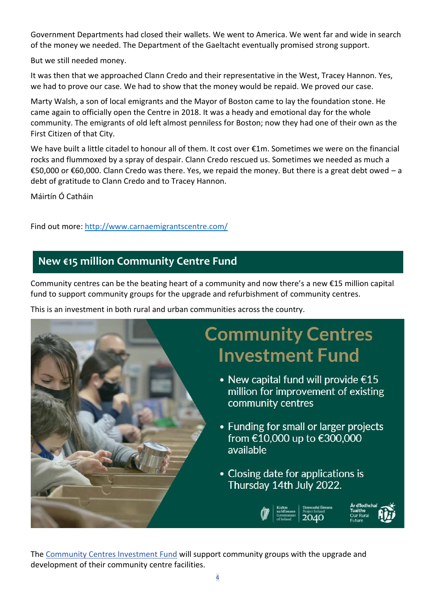Government Departments had closed their wallets. We went to America. We went far and wide in search of the money we needed. The Department of the Gaeltacht eventually promised strong support.

But we still needed money.

It was then that we approached Clann Credo and their representative in the West, Tracey Hannon. Yes, we had to prove our case. We had to show that the money would be repaid. We proved our case.

Marty Walsh, a son of local emigrants and the Mayor of Boston came to lay the foundation stone. He came again to officially open the Centre in 2018. It was a heady and emotional day for the whole community. The emigrants of old left almost penniless for Boston; now they had one of their own as the First Citizen of that City.

We have built a little citadel to honour all of them. It cost over €1m. Sometimes we were on the financial rocks and flummoxed by a spray of despair. Clann Credo rescued us. Sometimes we needed as much a €50,000 or €60,000. Clann Credo was there. Yes, we repaid the money. But there is a great debt owed – a debt of gratitude to Clann Credo and to Tracey Hannon.

Máirtín Ó Catháin

Find out more:<http://www.carnaemigrantscentre.com/>

# **New €15 million Community Centre Fund**

Community centres can be the beating heart of a community and now there's a new €15 million capital fund to support community groups for the upgrade and refurbishment of community centres.

This is an investment in both rural and urban communities across the country.



The [Community Centres Investment Fund](https://www.gov.ie/en/service/fec91-community-centres-investment-fund/) will support community groups with the upgrade and development of their community centre facilities.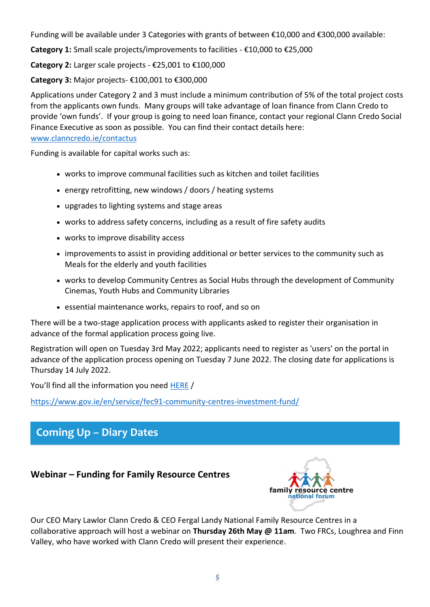Funding will be available under 3 Categories with grants of between €10,000 and €300,000 available:

**Category 1:** Small scale projects/improvements to facilities - €10,000 to €25,000

**Category 2:** Larger scale projects - €25,001 to €100,000

**Category 3:** Major projects- €100,001 to €300,000

Applications under Category 2 and 3 must include a minimum contribution of 5% of the total project costs from the applicants own funds. Many groups will take advantage of loan finance from Clann Credo to provide 'own funds'. If your group is going to need loan finance, contact your regional Clann Credo Social Finance Executive as soon as possible. You can find their contact details here: [www.clanncredo.ie/contactus](http://www.clanncredo.ie/contactus)

Funding is available for capital works such as:

- works to improve communal facilities such as kitchen and toilet facilities
- energy retrofitting, new windows / doors / heating systems
- upgrades to lighting systems and stage areas
- works to address safety concerns, including as a result of fire safety audits
- works to improve disability access
- improvements to assist in providing additional or better services to the community such as Meals for the elderly and youth facilities
- works to develop Community Centres as Social Hubs through the development of Community Cinemas, Youth Hubs and Community Libraries
- essential maintenance works, repairs to roof, and so on

There will be a two-stage application process with applicants asked to register their organisation in advance of the formal application process going live.

Registration will open on Tuesday 3rd May 2022; applicants need to register as 'users' on the portal in advance of the application process opening on Tuesday 7 June 2022. The closing date for applications is Thursday 14 July 2022.

You'll find all the information you need [HERE](https://www.gov.ie/en/service/fec91-community-centres-investment-fund/) /

<https://www.gov.ie/en/service/fec91-community-centres-investment-fund/>

# **Coming Up – Diary Dates**

## **Webinar – Funding for Family Resource Centres**



Our CEO Mary Lawlor Clann Credo & CEO Fergal Landy National Family Resource Centres in a collaborative approach will host a webinar on **Thursday 26th May @ 11am**. Two FRCs, Loughrea and Finn Valley, who have worked with Clann Credo will present their experience.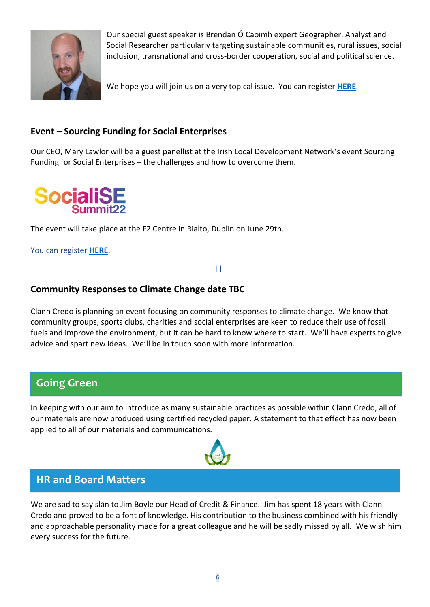

Our special guest speaker is Brendan Ó Caoimh expert Geographer, Analyst and Social Researcher particularly targeting sustainable communities, rural issues, social inclusion, transnational and cross-border cooperation, social and political science.

We hope you will join us on a very topical issue. You can register **[HERE](https://www.eventbrite.com/e/331114962767)**.

## **Event – Sourcing Funding for Social Enterprises**

Our CEO, Mary Lawlor will be a guest panellist at the Irish Local Development Network's event Sourcing Funding for Social Enterprises – the challenges and how to overcome them.



The event will take place at the F2 Centre in Rialto, Dublin on June 29th.

You can register **[HERE](https://www.eventbrite.ie/e/socialise-2022-the-summit-for-social-enterprise-registration-295873494587)**.

### |||

## **Community Responses to Climate Change date TBC**

Clann Credo is planning an event focusing on community responses to climate change. We know that community groups, sports clubs, charities and social enterprises are keen to reduce their use of fossil fuels and improve the environment, but it can be hard to know where to start. We'll have experts to give advice and spart new ideas. We'll be in touch soon with more information.

# **Going Green**

In keeping with our aim to introduce as many sustainable practices as possible within Clann Credo, all of our materials are now produced using certified recycled paper. A statement to that effect has now been applied to all of our materials and communications.



# **HR and Board Matters**

We are sad to say slán to Jim Boyle our Head of Credit & Finance. Jim has spent 18 years with Clann Credo and proved to be a font of knowledge. His contribution to the business combined with his friendly and approachable personality made for a great colleague and he will be sadly missed by all. We wish him every success for the future.